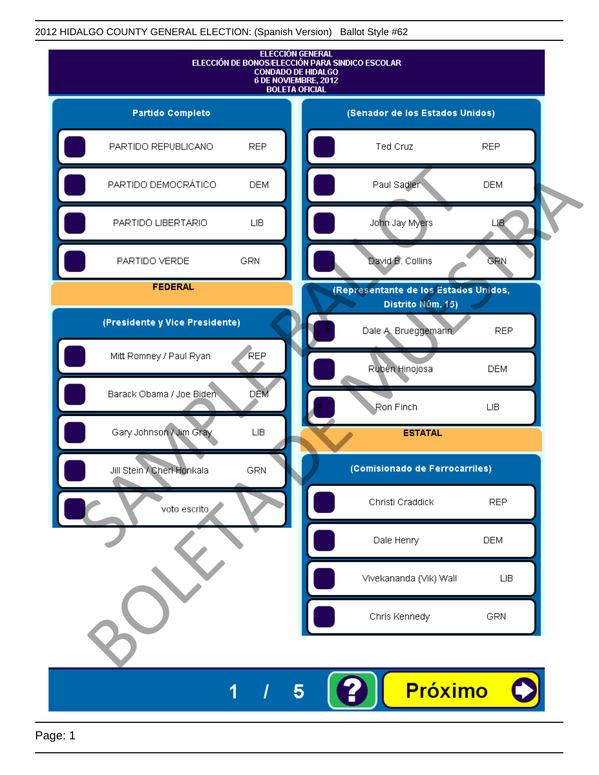

Page: 1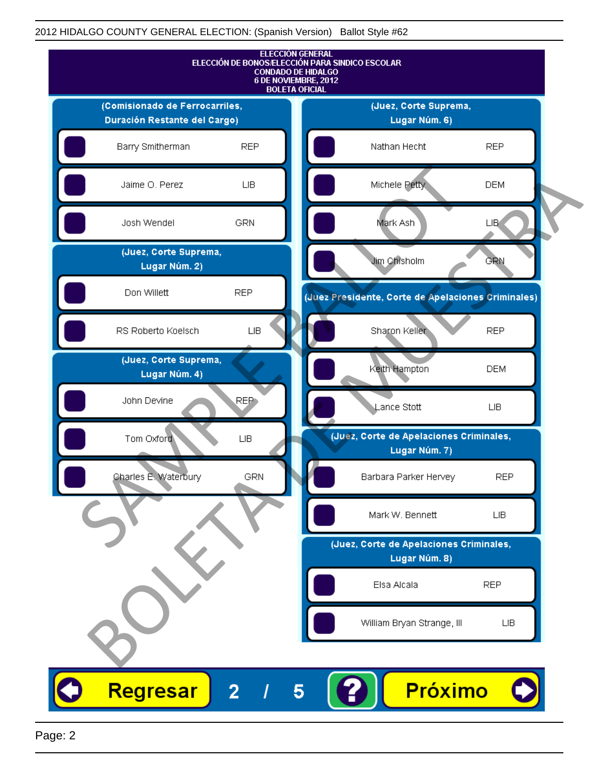

Page: 2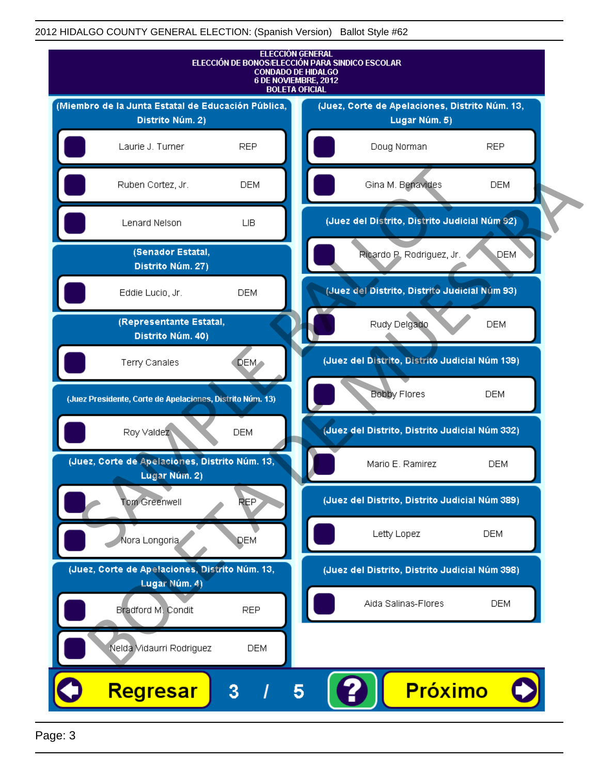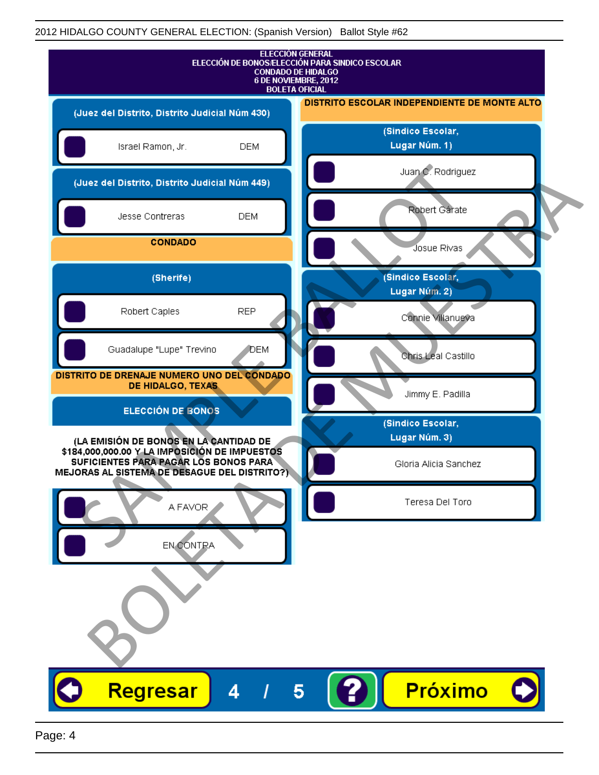| <b>ELECCIÓN GENERAL</b><br>ELECCIÓN DE BONOS/ELECCIÓN PARA SINDICO ESCOLAR<br><b>CONDADO DE HIDALGO</b><br>6 DE NOVIEMBRE, 2012<br><b>BOLETA OFICIAL</b> |                                              |
|----------------------------------------------------------------------------------------------------------------------------------------------------------|----------------------------------------------|
| (Juez del Distrito, Distrito Judicial Núm 430)                                                                                                           | DISTRITO ESCOLAR INDEPENDIENTE DE MONTE ALTO |
| Israel Ramon, Jr.<br><b>DEM</b>                                                                                                                          | (Sindico Escolar,<br>Lugar Núm. 1)           |
| (Juez del Distrito, Distrito Judicial Núm 449)                                                                                                           | Juan C. Rodriguez                            |
| Jesse Contreras<br><b>DEM</b>                                                                                                                            | Robert Gárate                                |
| <b>CONDADO</b>                                                                                                                                           | Josue Rivas                                  |
| (Sherife)                                                                                                                                                | (Sindico Escolar,<br>Lugar Núm. 2)           |
| <b>REP</b><br>Robert Caples                                                                                                                              | Connie Villanueva                            |
| Guadalupe "Lupe" Trevino<br>DEM                                                                                                                          | Chris Leal Castillo                          |
| DISTRITO DE DRENAJE NUMERO UNO DEL CONDADO<br>DE HIDALGO, TEXAS                                                                                          | Jimmy E. Padilla                             |
| <b>ELECCIÓN DE BONOS</b>                                                                                                                                 | (Sindico Escolar,                            |
| (LA EMISIÓN DE BONOS EN LA CANTIDAD DE<br>\$184,000,000.00 Y LA IMPOSICIÓN DE IMPUESTOS                                                                  | Lugar Núm. 3)                                |
| SUFICIENTES PARA PAGAR LOS BONOS PARA<br>MEJORAS AL SISTEMA DE DESAGUE DEL DISTRITO?)                                                                    | Gloria Alicia Sanchez                        |
| A FAVOR                                                                                                                                                  | Teresa Del Toro                              |
| EN CONTRA                                                                                                                                                |                                              |
|                                                                                                                                                          |                                              |
|                                                                                                                                                          |                                              |
|                                                                                                                                                          |                                              |
| Regresar<br>4                                                                                                                                            | Próximo<br>5                                 |
|                                                                                                                                                          |                                              |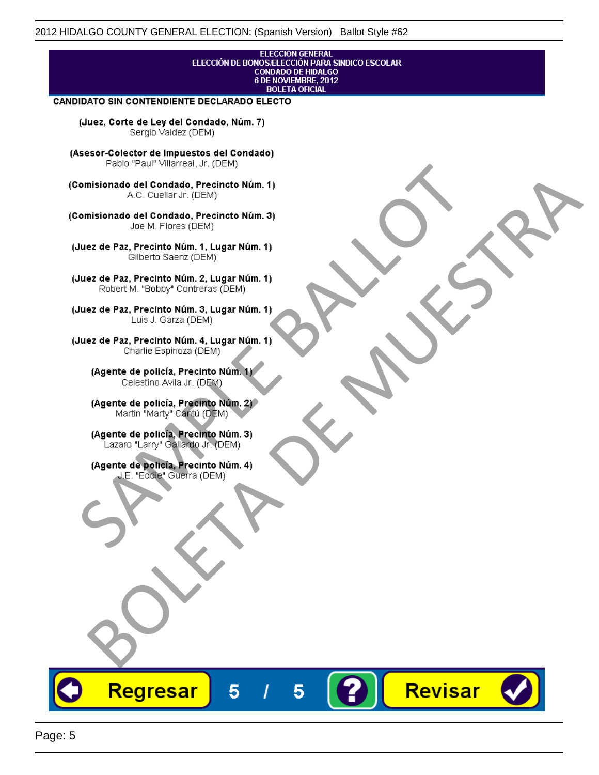## ELECCIÓN GENERAL ELECCIÓN DE BONOS/ELECCIÓN PARA SINDICO ESCOLAR<br>CONDADO DE HIDALGO<br>6 DE NOVIEMBRE, 2012 **BOLETA OFICIAL**

Revisar

### CANDIDATO SIN CONTENDIENTE DECLARADO ELECTO

(Juez, Corte de Ley del Condado, Núm. 7) Sergio Valdez (DEM)

(Asesor-Colector de Impuestos del Condado)

Fallo Fall Willdrea, J.I. (DEM)<br>
Consistionado el Condado, Precincto Núm. 1)<br>
A.C. Cuellar Jr. (DEM)<br>
Ullez de Paz, Precinto Núm. 1)<br>
Juez de Paz, Precinto Núm. 1, Lugar Núm. 1)<br>
Gilberto Sentr (DEM)<br>
Robert M. "Bobby" Con misionado del Condiado, Precincto Núm. 1)<br>
Andro del Condiado, Precincto Núm. 3)<br>
ez de Paz, Precinto Núm. 21<br>
algo M. Picer Lo Saerz, (CIEM)<br>
algo M. Picer Lo Saerz, (CIEM)<br>
algo M. Picer Lo Saerz, (CIEM)<br>
ez de Paz, Prec

Regresar

5

5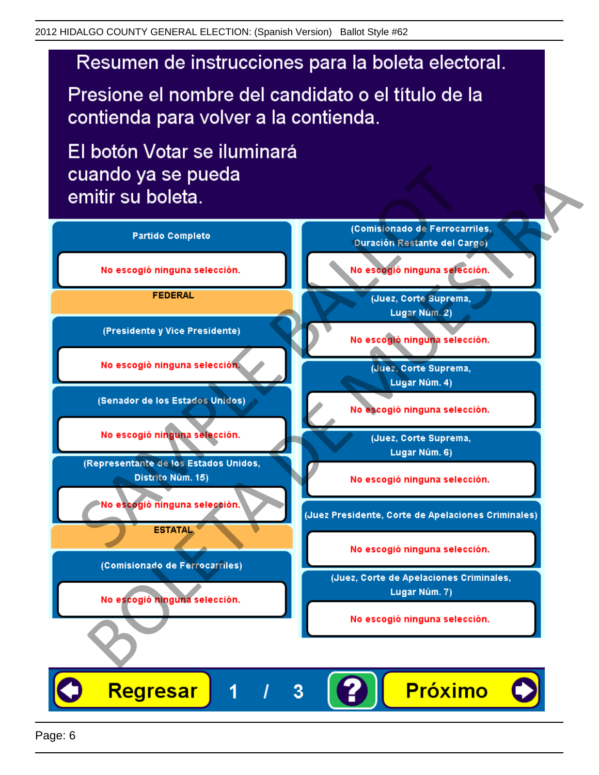# Resumen de instrucciones para la boleta electoral.

Presione el nombre del candidato o el título de la contienda para volver a la contienda.

El botón Votar se iluminará

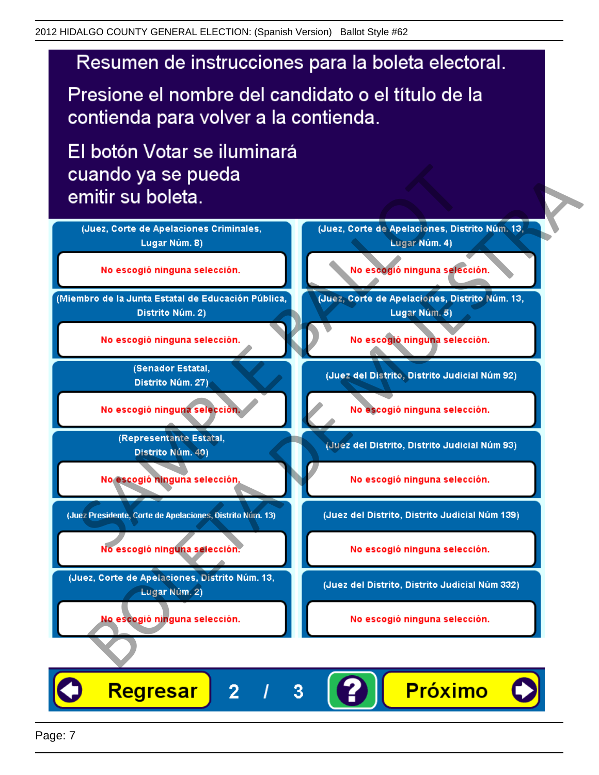# Resumen de instrucciones para la boleta electoral.

Presione el nombre del candidato o el título de la contienda para volver a la contienda.

El botón Votar se iluminará